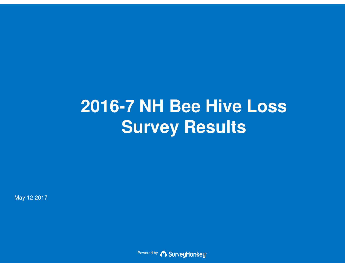# **2016-7 NH Bee Hive LossSurvey Results**

May 12 2017

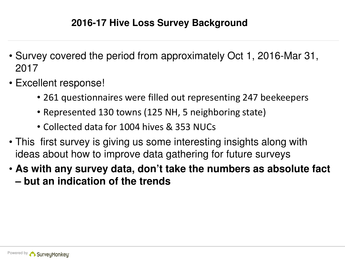- Survey covered the period from approximately Oct 1, 2016-Mar 31, 2017
- Excellent response!
	- 261 questionnaires were filled out representing 247 beekeepers
	- Represented 130 towns (125 NH, 5 neighboring state)
	- Collected data for 1004 hives & 353 NUCs
- This first survey is giving us some interesting insights along with ideas about how to improve data gathering for future surveys
- **As with any survey data, don't take the numbers as absolute fact – but an indication of the trends**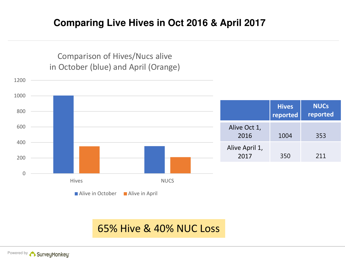# **Comparing Live Hives in Oct 2016 & April 2017**

Comparison of Hives/Nucs alivein October (blue) and April (Orange)



# 65% Hive & 40% NUC Loss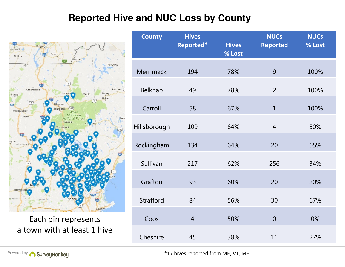# **Reported Hive and NUC Loss by County**



Each pin represents a town with at least 1 hive

| <b>County</b>    | <b>Hives</b><br>Reported* | <b>Hives</b><br>% Lost | <b>NUCs</b><br><b>Reported</b> | <b>NUCs</b><br>% Lost |
|------------------|---------------------------|------------------------|--------------------------------|-----------------------|
| Merrimack        | 194                       | 78%                    | 9                              | 100%                  |
| Belknap          | 49                        | 78%                    | $\overline{2}$                 | 100%                  |
| Carroll          | 58                        | 67%                    | $\mathbf{1}$                   | 100%                  |
| Hillsborough     | 109                       | 64%                    | $\overline{4}$                 | 50%                   |
| Rockingham       | 134                       | 64%                    | 20                             | 65%                   |
| Sullivan         | 217                       | 62%                    | 256                            | 34%                   |
| Grafton          | 93                        | 60%                    | 20                             | 20%                   |
| <b>Strafford</b> | 84                        | 56%                    | 30                             | 67%                   |
| Coos             | $\overline{4}$            | 50%                    | $\overline{0}$                 | 0%                    |
| Cheshire         | 45                        | 38%                    | 11                             | 27%                   |

Powered by

\*17 hives reported from ME, VT, ME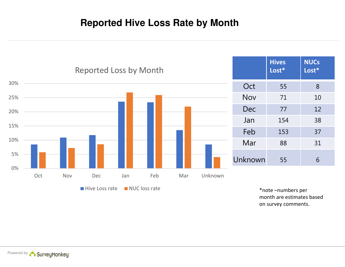# **Reported Hive Loss Rate by Month**



month are estimates based on survey comments.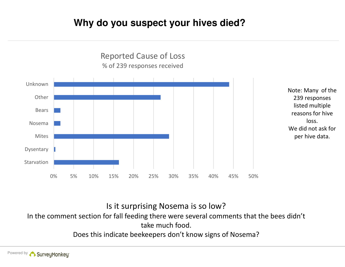# **Why do you suspect your hives died?**



Is it surprising Nosema is so low?

In the comment section for fall feeding there were several comments that the bees didn't take much food.

Does this indicate beekeepers don't know signs of Nosema?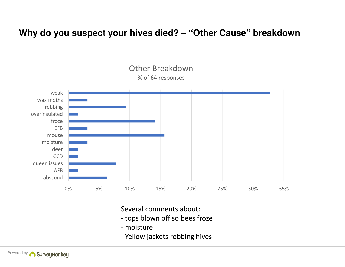### **Why do you suspect your hives died? – "Other Cause" breakdown**



Several comments about:

- tops blown off so bees froze
- moisture
- Yellow jackets robbing hives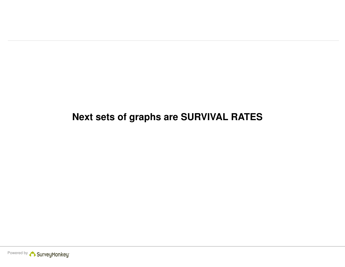# **Next sets of graphs are SURVIVAL RATES**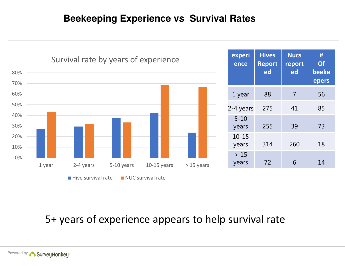# **Beekeeping Experience vs Survival Rates**



# 5+ years of experience appears to help survival rate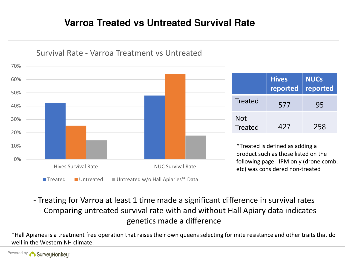# **Varroa Treated vs Untreated Survival Rate**



Survival Rate - Varroa Treatment vs Untreated

- Treating for Varroa at least 1 time made a significant difference in survival rates - Comparing untreated survival rate with and without Hall Apiary data indicates genetics made a difference

\*Hall Apiaries is a treatment free operation that raises their own queens selecting for mite resistance and other traits that dowell in the Western NH climate.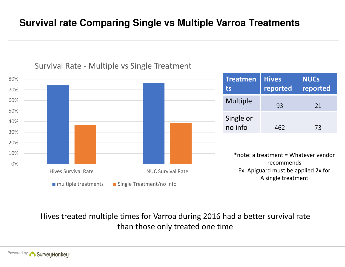# **Survival rate Comparing Single vs Multiple Varroa Treatments**



#### Survival Rate - Multiple vs Single Treatment

| <b>Treatmen</b><br>ts | <b>Hives</b><br>reported | <b>NUCs</b><br>reported |
|-----------------------|--------------------------|-------------------------|
| <b>Multiple</b>       | 93                       | 21                      |
| Single or<br>no info  | 462                      | 73                      |

\*note: a treatment = Whatever vendor recommends Ex: Apiguard must be applied 2x for A single treatment

Hives treated multiple times for Varroa during 2016 had a better survival rate than those only treated one time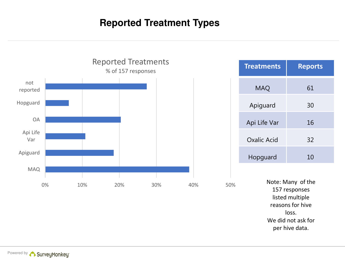# **Reported Treatment Types**



Powered by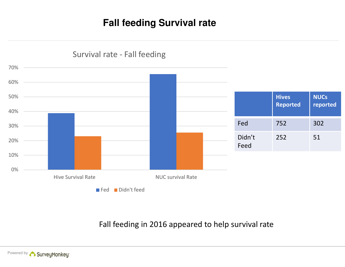# **Fall feeding Survival rate**



#### Powered by

Fall feeding in 2016 appeared to help survival rate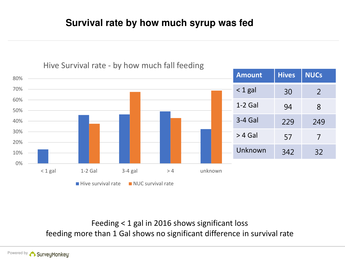# **Survival rate by how much syrup was fed**



#### Hive Survival rate - by how much fall feeding

Feeding < 1 gal in 2016 shows significant lossfeeding more than 1 Gal shows no significant difference in survival rate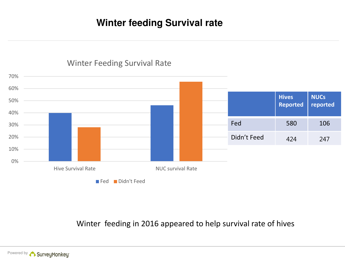# **Winter feeding Survival rate**



#### Winter Feeding Survival Rate

Winter feeding in 2016 appeared to help survival rate of hives

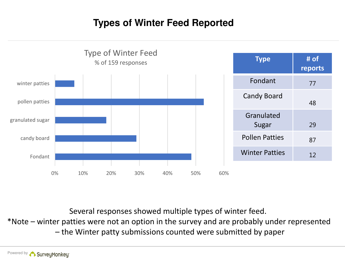# **Types of Winter Feed Reported**



Several responses showed multiple types of winter feed.

\*Note – winter patties were not an option in the survey and are probably under represented

– the Winter patty submissions counted were submitted by paper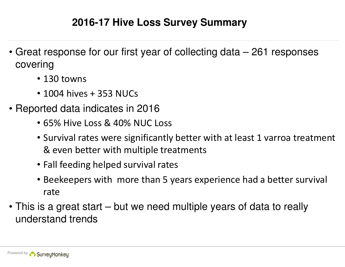# **2016-17 Hive Loss Survey Summary**

- Great response for our first year of collecting data 261 responses covering
	- 130 towns
	- 1004 hives + 353 NUCs
- Reported data indicates in 2016
	- 65% Hive Loss & 40% NUC Loss
	- Survival rates were significantly better with at least 1 varroa treatment & even better with multiple treatments
	- Fall feeding helped survival rates
	- Beekeepers with more than 5 years experience had a better survival rate
- This is a great start but we need multiple years of data to really understand trends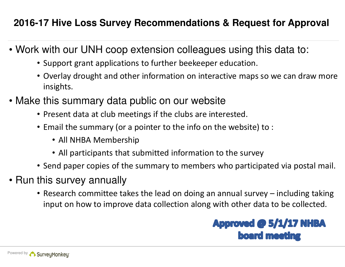# **2016-17 Hive Loss Survey Recommendations & Request for Approval**

- Work with our UNH coop extension colleagues using this data to:
	- Support grant applications to further beekeeper education.
	- Overlay drought and other information on interactive maps so we can draw more insights.
- Make this summary data public on our website
	- Present data at club meetings if the clubs are interested.
	- Email the summary (or a pointer to the info on the website) to :
		- All NHBA Membership
		- All participants that submitted information to the survey
	- Send paper copies of the summary to members who participated via postal mail.
- Run this survey annually
	- Research committee takes the lead on doing an annual survey including taking input on how to improve data collection along with other data to be collected.

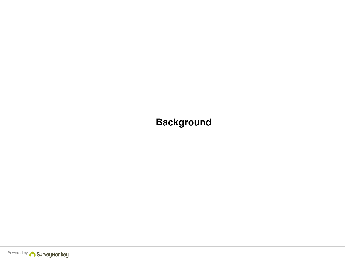**Background**

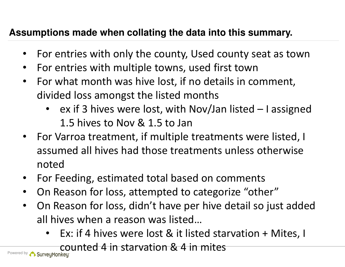# **Assumptions made when collating the data into this summary.**

- •For entries with only the county, Used county seat as town
- •For entries with multiple towns, used first town
- For what month was hive lost, if no details in comment,  $\bullet$ divided loss amongst the listed months
	- • ex if 3 hives were lost, with Nov/Jan listed – I assigned 1.5 hives to Nov & 1.5 to Jan
- For Varroa treatment, if multiple treatments were listed, I assumed all hives had those treatments unless otherwise noted
- For Feeding, estimated total based on comments•
- $\bullet$ On Reason for loss, attempted to categorize "other"
- • On Reason for loss, didn't have per hive detail so just added all hives when a reason was listed…
	- •Ex: if 4 hives were lost & it listed starvation + Mites, I

counted 4 in starvation & 4 in mites

Powered by